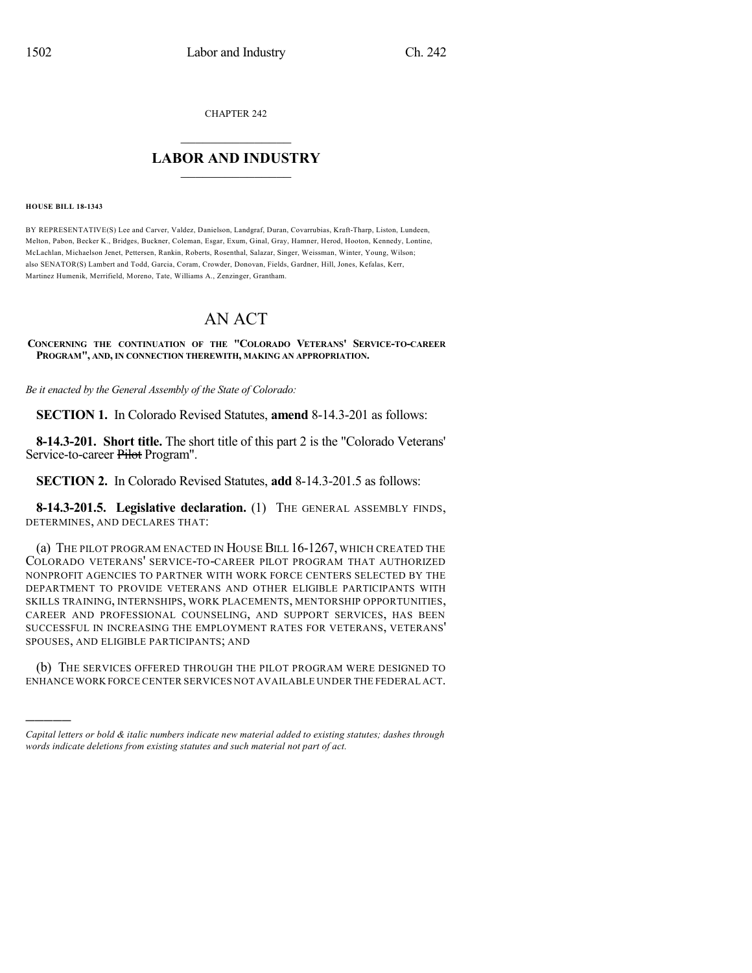CHAPTER 242

## $\overline{\phantom{a}}$  . The set of the set of the set of the set of the set of the set of the set of the set of the set of the set of the set of the set of the set of the set of the set of the set of the set of the set of the set o **LABOR AND INDUSTRY**  $\frac{1}{\sqrt{2}}$  ,  $\frac{1}{\sqrt{2}}$  ,  $\frac{1}{\sqrt{2}}$  ,  $\frac{1}{\sqrt{2}}$  ,  $\frac{1}{\sqrt{2}}$  ,  $\frac{1}{\sqrt{2}}$

## **HOUSE BILL 18-1343**

)))))

BY REPRESENTATIVE(S) Lee and Carver, Valdez, Danielson, Landgraf, Duran, Covarrubias, Kraft-Tharp, Liston, Lundeen, Melton, Pabon, Becker K., Bridges, Buckner, Coleman, Esgar, Exum, Ginal, Gray, Hamner, Herod, Hooton, Kennedy, Lontine, McLachlan, Michaelson Jenet, Pettersen, Rankin, Roberts, Rosenthal, Salazar, Singer, Weissman, Winter, Young, Wilson; also SENATOR(S) Lambert and Todd, Garcia, Coram, Crowder, Donovan, Fields, Gardner, Hill, Jones, Kefalas, Kerr, Martinez Humenik, Merrifield, Moreno, Tate, Williams A., Zenzinger, Grantham.

## AN ACT

**CONCERNING THE CONTINUATION OF THE "COLORADO VETERANS' SERVICE-TO-CAREER PROGRAM", AND, IN CONNECTION THEREWITH, MAKING AN APPROPRIATION.**

*Be it enacted by the General Assembly of the State of Colorado:*

**SECTION 1.** In Colorado Revised Statutes, **amend** 8-14.3-201 as follows:

**8-14.3-201. Short title.** The short title of this part 2 is the "Colorado Veterans' Service-to-career Pilot Program".

**SECTION 2.** In Colorado Revised Statutes, **add** 8-14.3-201.5 as follows:

**8-14.3-201.5. Legislative declaration.** (1) THE GENERAL ASSEMBLY FINDS, DETERMINES, AND DECLARES THAT:

(a) THE PILOT PROGRAM ENACTED IN HOUSE BILL 16-1267, WHICH CREATED THE COLORADO VETERANS' SERVICE-TO-CAREER PILOT PROGRAM THAT AUTHORIZED NONPROFIT AGENCIES TO PARTNER WITH WORK FORCE CENTERS SELECTED BY THE DEPARTMENT TO PROVIDE VETERANS AND OTHER ELIGIBLE PARTICIPANTS WITH SKILLS TRAINING, INTERNSHIPS, WORK PLACEMENTS, MENTORSHIP OPPORTUNITIES, CAREER AND PROFESSIONAL COUNSELING, AND SUPPORT SERVICES, HAS BEEN SUCCESSFUL IN INCREASING THE EMPLOYMENT RATES FOR VETERANS, VETERANS' SPOUSES, AND ELIGIBLE PARTICIPANTS; AND

(b) THE SERVICES OFFERED THROUGH THE PILOT PROGRAM WERE DESIGNED TO ENHANCE WORK FORCE CENTER SERVICES NOT AVAILABLE UNDER THE FEDERAL ACT.

*Capital letters or bold & italic numbers indicate new material added to existing statutes; dashes through words indicate deletions from existing statutes and such material not part of act.*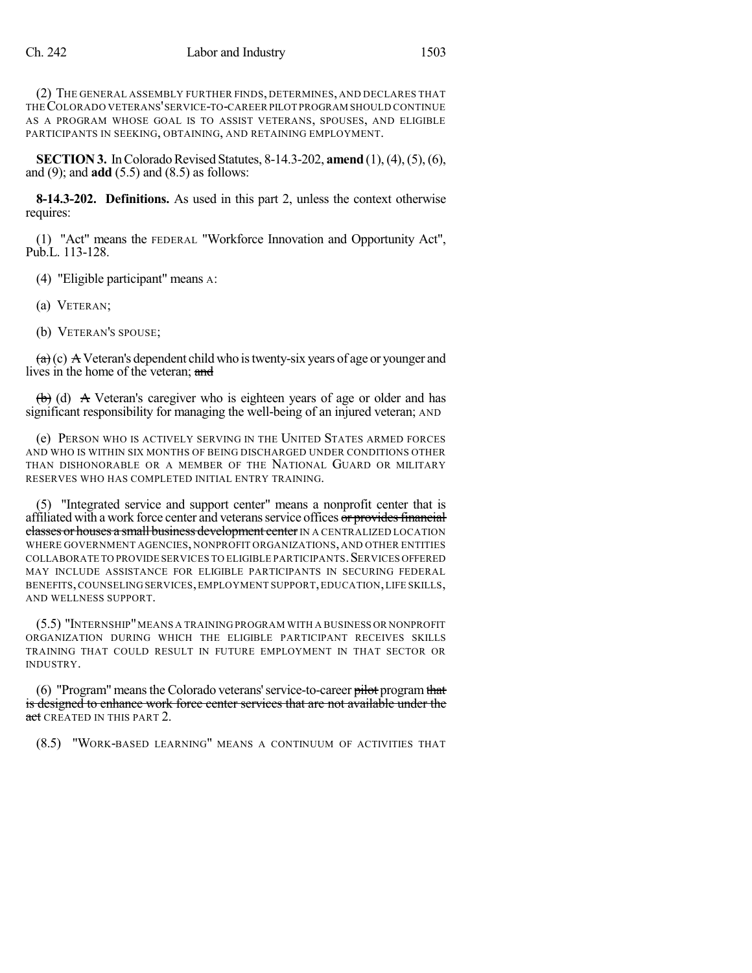(2) THE GENERAL ASSEMBLY FURTHER FINDS, DETERMINES, AND DECLARES THAT THECOLORADO VETERANS'SERVICE-TO-CAREER PILOT PROGRAM SHOULD CONTINUE AS A PROGRAM WHOSE GOAL IS TO ASSIST VETERANS, SPOUSES, AND ELIGIBLE PARTICIPANTS IN SEEKING, OBTAINING, AND RETAINING EMPLOYMENT.

**SECTION 3.** In Colorado Revised Statutes, 8-14.3-202, **amend** (1), (4), (5), (6), and (9); and **add** (5.5) and (8.5) as follows:

**8-14.3-202. Definitions.** As used in this part 2, unless the context otherwise requires:

(1) "Act" means the FEDERAL "Workforce Innovation and Opportunity Act", Pub.L. 113-128.

(4) "Eligible participant" means A:

(a) VETERAN;

(b) VETERAN'S SPOUSE;

 $(a)(c)$  A Veteran's dependent child who is twenty-six years of age or younger and lives in the home of the veteran; and

 $\left(\frac{b}{b}\right)$  (d) A Veteran's caregiver who is eighteen years of age or older and has significant responsibility for managing the well-being of an injured veteran; AND

(e) PERSON WHO IS ACTIVELY SERVING IN THE UNITED STATES ARMED FORCES AND WHO IS WITHIN SIX MONTHS OF BEING DISCHARGED UNDER CONDITIONS OTHER THAN DISHONORABLE OR A MEMBER OF THE NATIONAL GUARD OR MILITARY RESERVES WHO HAS COMPLETED INITIAL ENTRY TRAINING.

(5) "Integrated service and support center" means a nonprofit center that is affiliated with a work force center and veterans service offices or provides financial classes or houses a small business development center IN A CENTRALIZED LOCATION WHERE GOVERNMENT AGENCIES, NONPROFIT ORGANIZATIONS, AND OTHER ENTITIES COLLABORATE TO PROVIDE SERVICES TO ELIGIBLE PARTICIPANTS. SERVICES OFFERED MAY INCLUDE ASSISTANCE FOR ELIGIBLE PARTICIPANTS IN SECURING FEDERAL BENEFITS,COUNSELINGSERVICES,EMPLOYMENT SUPPORT,EDUCATION,LIFE SKILLS, AND WELLNESS SUPPORT.

(5.5) "INTERNSHIP"MEANS A TRAINING PROGRAM WITH A BUSINESS OR NONPROFIT ORGANIZATION DURING WHICH THE ELIGIBLE PARTICIPANT RECEIVES SKILLS TRAINING THAT COULD RESULT IN FUTURE EMPLOYMENT IN THAT SECTOR OR INDUSTRY.

(6) "Program" meansthe Colorado veterans'service-to-career pilot programthat is designed to enhance work force center services that are not available under the act CREATED IN THIS PART 2.

(8.5) "WORK-BASED LEARNING" MEANS A CONTINUUM OF ACTIVITIES THAT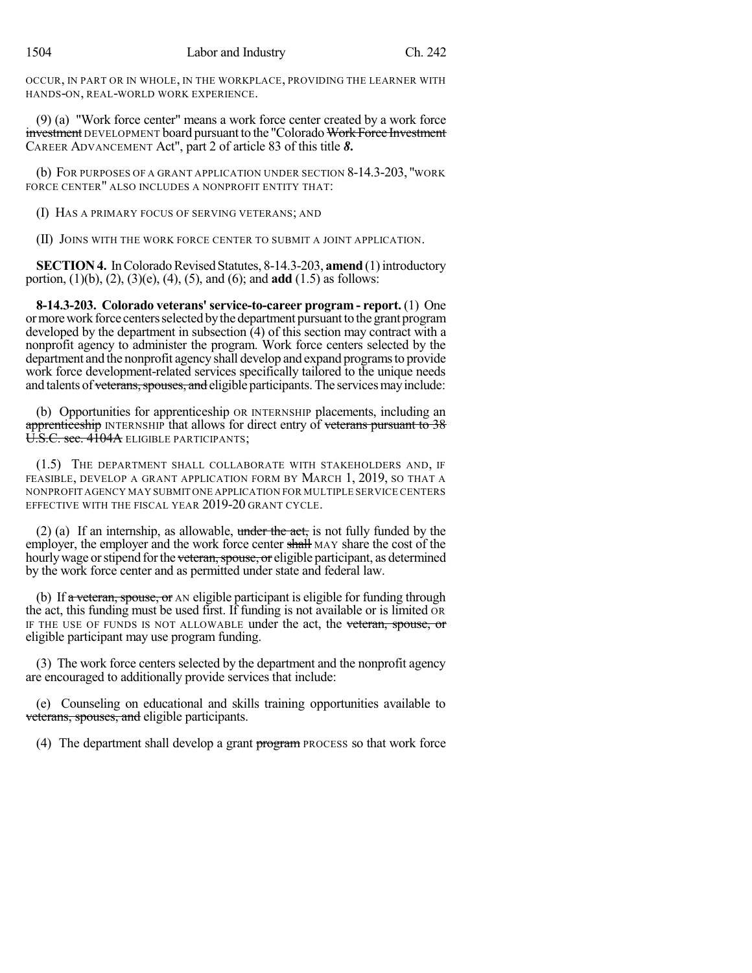OCCUR, IN PART OR IN WHOLE, IN THE WORKPLACE, PROVIDING THE LEARNER WITH HANDS-ON, REAL-WORLD WORK EXPERIENCE.

(9) (a) "Work force center" means a work force center created by a work force investment DEVELOPMENT board pursuant to the "Colorado Work Force Investment" CAREER ADVANCEMENT Act", part 2 of article 83 of this title *8***.**

(b) FOR PURPOSES OF A GRANT APPLICATION UNDER SECTION 8-14.3-203, "WORK FORCE CENTER" ALSO INCLUDES A NONPROFIT ENTITY THAT:

(I) HAS A PRIMARY FOCUS OF SERVING VETERANS; AND

(II) JOINS WITH THE WORK FORCE CENTER TO SUBMIT A JOINT APPLICATION.

**SECTION 4.** In Colorado Revised Statutes, 8-14.3-203, **amend** (1) introductory portion, (1)(b), (2), (3)(e), (4), (5), and (6); and **add** (1.5) as follows:

**8-14.3-203. Colorado veterans'service-to-career program - report.** (1) One or more work force centers selected by the department pursuant to the grant program developed by the department in subsection  $\overline{4}$  of this section may contract with a nonprofit agency to administer the program. Work force centers selected by the department and the nonprofit agency shall develop and expand programsto provide work force development-related services specifically tailored to the unique needs and talents of veterans, spouses, and eligible participants. The services may include:

(b) Opportunities for apprenticeship OR INTERNSHIP placements, including an apprenticeship INTERNSHIP that allows for direct entry of veterans pursuant to 38 U.S.C. sec. 4104A ELIGIBLE PARTICIPANTS;

(1.5) THE DEPARTMENT SHALL COLLABORATE WITH STAKEHOLDERS AND, IF FEASIBLE, DEVELOP A GRANT APPLICATION FORM BY MARCH 1, 2019, SO THAT A NONPROFIT AGENCY MAY SUBMIT ONE APPLICATION FOR MULTIPLE SERVICE CENTERS EFFECTIVE WITH THE FISCAL YEAR 2019-20 GRANT CYCLE.

(2) (a) If an internship, as allowable, under the act, is not fully funded by the employer, the employer and the work force center shall MAY share the cost of the hourly wage or stipend for the veteran, spouse, or eligible participant, as determined by the work force center and as permitted under state and federal law.

(b) If  $\alpha$  veteran, spouse, or AN eligible participant is eligible for funding through the act, this funding must be used first. If funding is not available or is limited OR IF THE USE OF FUNDS IS NOT ALLOWABLE under the act, the veteran, spouse, or eligible participant may use program funding.

(3) The work force centers selected by the department and the nonprofit agency are encouraged to additionally provide services that include:

(e) Counseling on educational and skills training opportunities available to veterans, spouses, and eligible participants.

(4) The department shall develop a grant program PROCESS so that work force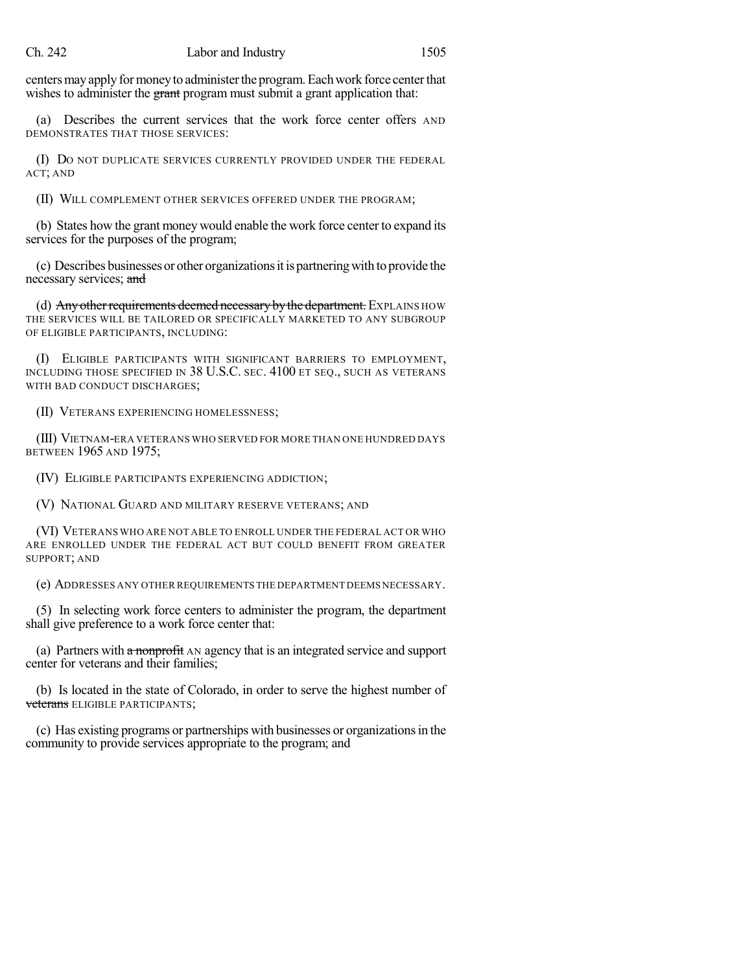centers may apply for money to administer the program. Each work force center that wishes to administer the grant program must submit a grant application that:

(a) Describes the current services that the work force center offers AND DEMONSTRATES THAT THOSE SERVICES:

(I) DO NOT DUPLICATE SERVICES CURRENTLY PROVIDED UNDER THE FEDERAL ACT; AND

(II) WILL COMPLEMENT OTHER SERVICES OFFERED UNDER THE PROGRAM;

(b) States how the grant money would enable the work force center to expand its services for the purposes of the program;

(c) Describes businesses or other organizationsitis partneringwith to provide the necessary services; and

(d) Any other requirements deemed necessary by the department. EXPLAINS HOW THE SERVICES WILL BE TAILORED OR SPECIFICALLY MARKETED TO ANY SUBGROUP OF ELIGIBLE PARTICIPANTS, INCLUDING:

(I) ELIGIBLE PARTICIPANTS WITH SIGNIFICANT BARRIERS TO EMPLOYMENT, INCLUDING THOSE SPECIFIED IN 38 U.S.C. SEC. 4100 ET SEQ., SUCH AS VETERANS WITH BAD CONDUCT DISCHARGES;

(II) VETERANS EXPERIENCING HOMELESSNESS;

(III) VIETNAM-ERA VETERANS WHO SERVED FOR MORE THAN ONE HUNDRED DAYS BETWEEN 1965 AND 1975;

(IV) ELIGIBLE PARTICIPANTS EXPERIENCING ADDICTION;

(V) NATIONAL GUARD AND MILITARY RESERVE VETERANS; AND

(VI) VETERANS WHO ARE NOT ABLE TO ENROLL UNDER THE FEDERAL ACT OR WHO ARE ENROLLED UNDER THE FEDERAL ACT BUT COULD BENEFIT FROM GREATER SUPPORT; AND

(e) ADDRESSES ANY OTHER REQUIREMENTS THE DEPARTMENT DEEMS NECESSARY.

(5) In selecting work force centers to administer the program, the department shall give preference to a work force center that:

(a) Partners with a nonprofit AN agency that is an integrated service and support center for veterans and their families;

(b) Is located in the state of Colorado, in order to serve the highest number of veterans ELIGIBLE PARTICIPANTS;

(c) Has existing programs or partnerships with businesses or organizationsin the community to provide services appropriate to the program; and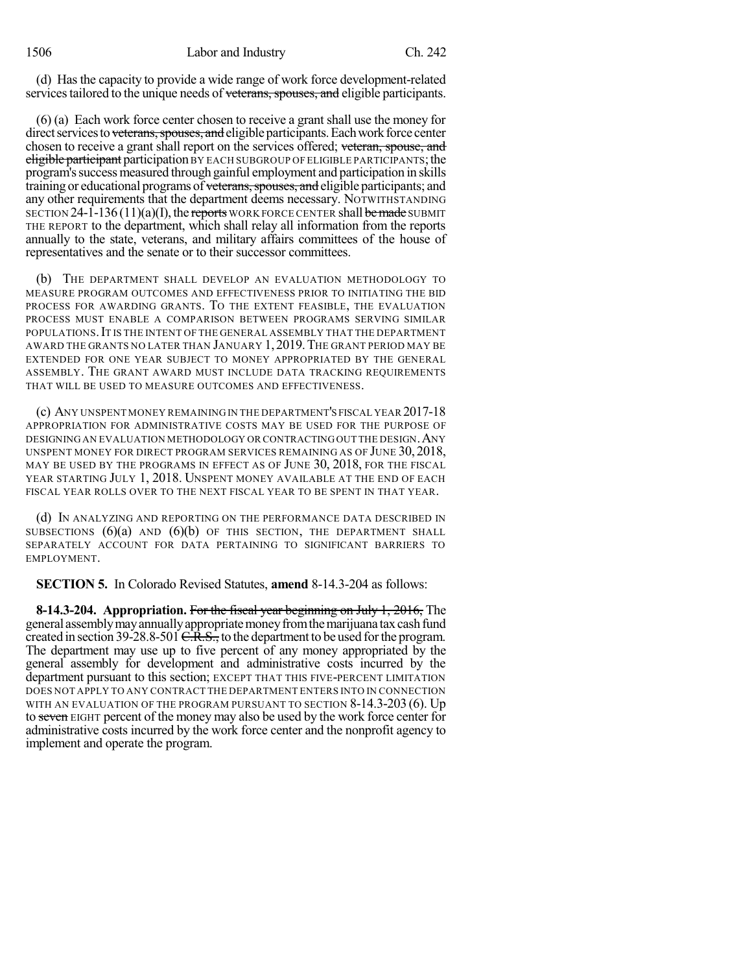(d) Has the capacity to provide a wide range of work force development-related services tailored to the unique needs of veterans, spouses, and eligible participants.

(6) (a) Each work force center chosen to receive a grant shall use the money for direct services to veterans, spouses, and eligible participants. Each work force center chosen to receive a grant shall report on the services offered; veteran, spouse, and eligible participant participation BY EACH SUBGROUP OF ELIGIBLE PARTICIPANTS; the program's success measured through gainful employment and participation in skills training or educational programs of veterans, spouses, and eligible participants; and any other requirements that the department deems necessary. NOTWITHSTANDING SECTION 24-1-136 (11)(a)(I), the reports WORK FORCE CENTER shall be made SUBMIT THE REPORT to the department, which shall relay all information from the reports annually to the state, veterans, and military affairs committees of the house of representatives and the senate or to their successor committees.

(b) THE DEPARTMENT SHALL DEVELOP AN EVALUATION METHODOLOGY TO MEASURE PROGRAM OUTCOMES AND EFFECTIVENESS PRIOR TO INITIATING THE BID PROCESS FOR AWARDING GRANTS. TO THE EXTENT FEASIBLE, THE EVALUATION PROCESS MUST ENABLE A COMPARISON BETWEEN PROGRAMS SERVING SIMILAR POPULATIONS. IT IS THE INTENT OF THE GENERAL ASSEMBLY THAT THE DEPARTMENT AWARD THE GRANTS NO LATER THAN JANUARY 1, 2019.THE GRANT PERIOD MAY BE EXTENDED FOR ONE YEAR SUBJECT TO MONEY APPROPRIATED BY THE GENERAL ASSEMBLY. THE GRANT AWARD MUST INCLUDE DATA TRACKING REQUIREMENTS THAT WILL BE USED TO MEASURE OUTCOMES AND EFFECTIVENESS.

(c) ANY UNSPENT MONEY REMAINING IN THE DEPARTMENT'S FISCAL YEAR 2017-18 APPROPRIATION FOR ADMINISTRATIVE COSTS MAY BE USED FOR THE PURPOSE OF DESIGNING AN EVALUATION METHODOLOGY OR CONTRACTINGOUT THE DESIGN.ANY UNSPENT MONEY FOR DIRECT PROGRAM SERVICES REMAINING AS OF JUNE 30, 2018, MAY BE USED BY THE PROGRAMS IN EFFECT AS OF JUNE 30, 2018, FOR THE FISCAL YEAR STARTING JULY 1, 2018. UNSPENT MONEY AVAILABLE AT THE END OF EACH FISCAL YEAR ROLLS OVER TO THE NEXT FISCAL YEAR TO BE SPENT IN THAT YEAR.

(d) IN ANALYZING AND REPORTING ON THE PERFORMANCE DATA DESCRIBED IN SUBSECTIONS  $(6)(a)$  AND  $(6)(b)$  OF THIS SECTION, THE DEPARTMENT SHALL SEPARATELY ACCOUNT FOR DATA PERTAINING TO SIGNIFICANT BARRIERS TO EMPLOYMENT.

**SECTION 5.** In Colorado Revised Statutes, **amend** 8-14.3-204 as follows:

**8-14.3-204. Appropriation.** For the fiscal year beginning on July 1, 2016, The general assembly may annually appropriate money from the marijuana tax cash fund created in section 39-28.8-501  $C.R.S.,$  to the department to be used for the program. The department may use up to five percent of any money appropriated by the general assembly for development and administrative costs incurred by the department pursuant to this section; EXCEPT THAT THIS FIVE-PERCENT LIMITATION DOES NOT APPLY TO ANY CONTRACT THE DEPARTMENT ENTERS INTO IN CONNECTION WITH AN EVALUATION OF THE PROGRAM PURSUANT TO SECTION 8-14.3-203 (6). Up to seven EIGHT percent of the money may also be used by the work force center for administrative costs incurred by the work force center and the nonprofit agency to implement and operate the program.